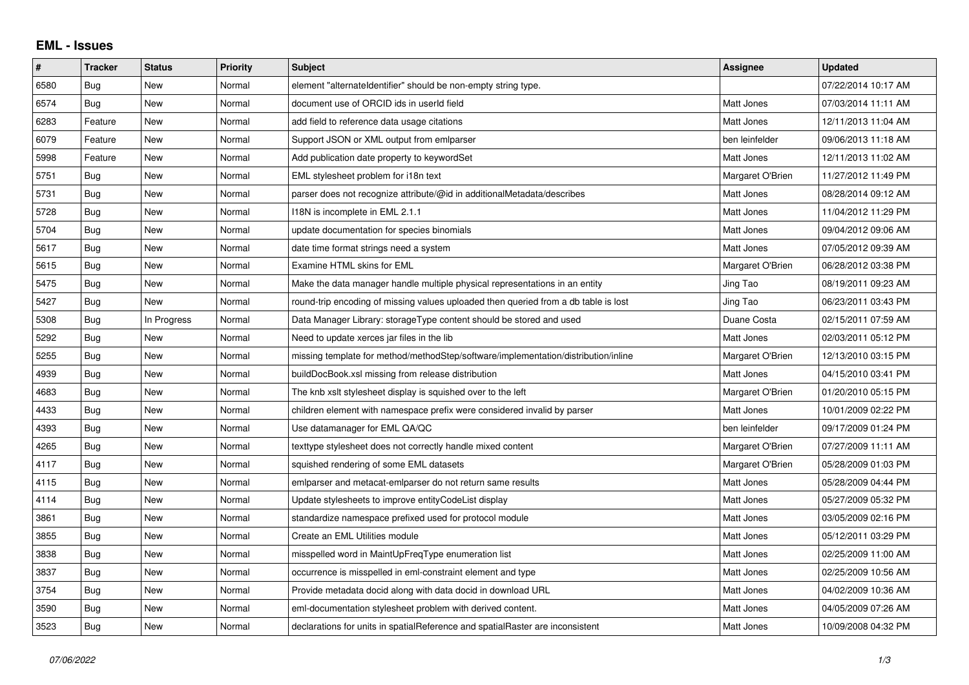## **EML - Issues**

| #    | <b>Tracker</b> | <b>Status</b> | <b>Priority</b> | <b>Subject</b>                                                                      | Assignee         | <b>Updated</b>      |
|------|----------------|---------------|-----------------|-------------------------------------------------------------------------------------|------------------|---------------------|
| 6580 | Bug            | New           | Normal          | element "alternateldentifier" should be non-empty string type.                      |                  | 07/22/2014 10:17 AM |
| 6574 | Bug            | <b>New</b>    | Normal          | document use of ORCID ids in userId field                                           | Matt Jones       | 07/03/2014 11:11 AM |
| 6283 | Feature        | New           | Normal          | add field to reference data usage citations                                         | Matt Jones       | 12/11/2013 11:04 AM |
| 6079 | Feature        | New           | Normal          | Support JSON or XML output from emiparser                                           | ben leinfelder   | 09/06/2013 11:18 AM |
| 5998 | Feature        | <b>New</b>    | Normal          | Add publication date property to keywordSet                                         | Matt Jones       | 12/11/2013 11:02 AM |
| 5751 | Bug            | New           | Normal          | EML stylesheet problem for i18n text                                                | Margaret O'Brien | 11/27/2012 11:49 PM |
| 5731 | Bug            | New           | Normal          | parser does not recognize attribute/@id in additionalMetadata/describes             | Matt Jones       | 08/28/2014 09:12 AM |
| 5728 | Bug            | New           | Normal          | 118N is incomplete in EML 2.1.1                                                     | Matt Jones       | 11/04/2012 11:29 PM |
| 5704 | Bug            | New           | Normal          | update documentation for species binomials                                          | Matt Jones       | 09/04/2012 09:06 AM |
| 5617 | Bug            | New           | Normal          | date time format strings need a system                                              | Matt Jones       | 07/05/2012 09:39 AM |
| 5615 | Bug            | <b>New</b>    | Normal          | Examine HTML skins for EML                                                          | Margaret O'Brien | 06/28/2012 03:38 PM |
| 5475 | Bug            | New           | Normal          | Make the data manager handle multiple physical representations in an entity         | Jing Tao         | 08/19/2011 09:23 AM |
| 5427 | Bug            | New           | Normal          | round-trip encoding of missing values uploaded then queried from a db table is lost | Jing Tao         | 06/23/2011 03:43 PM |
| 5308 | Bug            | In Progress   | Normal          | Data Manager Library: storageType content should be stored and used                 | Duane Costa      | 02/15/2011 07:59 AM |
| 5292 | <b>Bug</b>     | New           | Normal          | Need to update xerces jar files in the lib                                          | Matt Jones       | 02/03/2011 05:12 PM |
| 5255 | Bug            | New           | Normal          | missing template for method/methodStep/software/implementation/distribution/inline  | Margaret O'Brien | 12/13/2010 03:15 PM |
| 4939 | Bug            | <b>New</b>    | Normal          | buildDocBook.xsl missing from release distribution                                  | Matt Jones       | 04/15/2010 03:41 PM |
| 4683 | Bug            | New           | Normal          | The knb xslt stylesheet display is squished over to the left                        | Margaret O'Brien | 01/20/2010 05:15 PM |
| 4433 | Bug            | New           | Normal          | children element with namespace prefix were considered invalid by parser            | Matt Jones       | 10/01/2009 02:22 PM |
| 4393 | Bug            | New           | Normal          | Use datamanager for EML QA/QC                                                       | ben leinfelder   | 09/17/2009 01:24 PM |
| 4265 | Bug            | New           | Normal          | texttype stylesheet does not correctly handle mixed content                         | Margaret O'Brien | 07/27/2009 11:11 AM |
| 4117 | Bug            | <b>New</b>    | Normal          | squished rendering of some EML datasets                                             | Margaret O'Brien | 05/28/2009 01:03 PM |
| 4115 | Bug            | New           | Normal          | emiparser and metacat-emiparser do not return same results                          | Matt Jones       | 05/28/2009 04:44 PM |
| 4114 | Bug            | New           | Normal          | Update stylesheets to improve entityCodeList display                                | Matt Jones       | 05/27/2009 05:32 PM |
| 3861 | Bug            | New           | Normal          | standardize namespace prefixed used for protocol module                             | Matt Jones       | 03/05/2009 02:16 PM |
| 3855 | Bug            | New           | Normal          | Create an EML Utilities module                                                      | Matt Jones       | 05/12/2011 03:29 PM |
| 3838 | Bug            | New           | Normal          | misspelled word in MaintUpFreqType enumeration list                                 | Matt Jones       | 02/25/2009 11:00 AM |
| 3837 | Bug            | <b>New</b>    | Normal          | occurrence is misspelled in eml-constraint element and type                         | Matt Jones       | 02/25/2009 10:56 AM |
| 3754 | Bug            | New           | Normal          | Provide metadata docid along with data docid in download URL                        | Matt Jones       | 04/02/2009 10:36 AM |
| 3590 | Bug            | New           | Normal          | eml-documentation stylesheet problem with derived content.                          | Matt Jones       | 04/05/2009 07:26 AM |
| 3523 | Bug            | New           | Normal          | declarations for units in spatialReference and spatialRaster are inconsistent       | Matt Jones       | 10/09/2008 04:32 PM |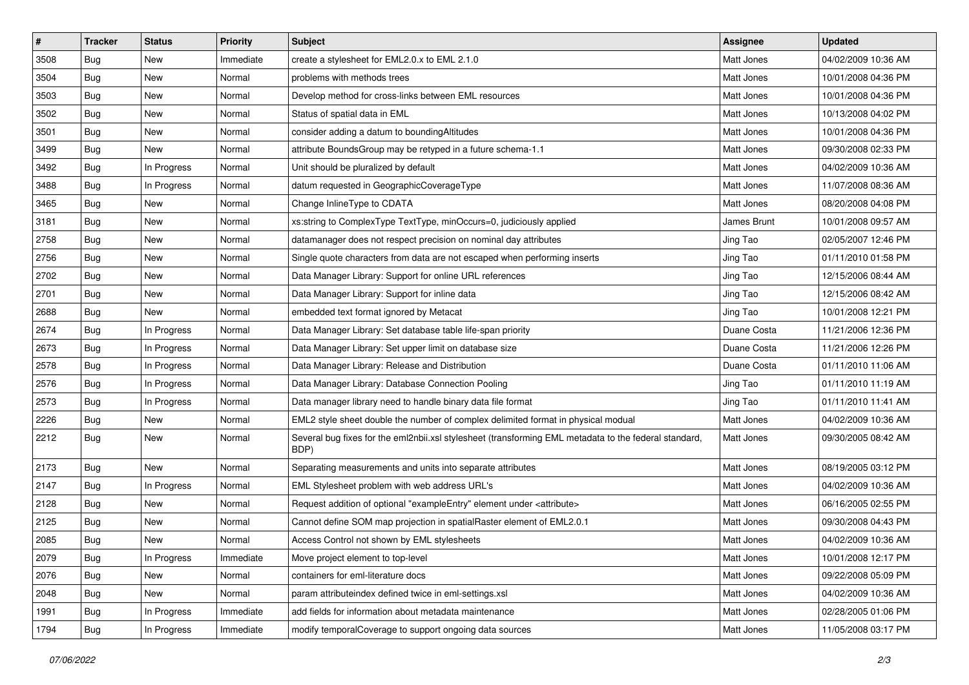| $\sharp$ | <b>Tracker</b> | <b>Status</b> | <b>Priority</b> | <b>Subject</b>                                                                                                | Assignee    | <b>Updated</b>      |
|----------|----------------|---------------|-----------------|---------------------------------------------------------------------------------------------------------------|-------------|---------------------|
| 3508     | Bug            | New           | Immediate       | create a stylesheet for EML2.0.x to EML 2.1.0                                                                 | Matt Jones  | 04/02/2009 10:36 AM |
| 3504     | Bug            | <b>New</b>    | Normal          | problems with methods trees                                                                                   | Matt Jones  | 10/01/2008 04:36 PM |
| 3503     | <b>Bug</b>     | New           | Normal          | Develop method for cross-links between EML resources                                                          | Matt Jones  | 10/01/2008 04:36 PM |
| 3502     | <b>Bug</b>     | <b>New</b>    | Normal          | Status of spatial data in EML                                                                                 | Matt Jones  | 10/13/2008 04:02 PM |
| 3501     | Bug            | <b>New</b>    | Normal          | consider adding a datum to bounding Altitudes                                                                 | Matt Jones  | 10/01/2008 04:36 PM |
| 3499     | Bug            | <b>New</b>    | Normal          | attribute BoundsGroup may be retyped in a future schema-1.1                                                   | Matt Jones  | 09/30/2008 02:33 PM |
| 3492     | Bug            | In Progress   | Normal          | Unit should be pluralized by default                                                                          | Matt Jones  | 04/02/2009 10:36 AM |
| 3488     | <b>Bug</b>     | In Progress   | Normal          | datum requested in GeographicCoverageType                                                                     | Matt Jones  | 11/07/2008 08:36 AM |
| 3465     | Bug            | <b>New</b>    | Normal          | Change InlineType to CDATA                                                                                    | Matt Jones  | 08/20/2008 04:08 PM |
| 3181     | Bug            | <b>New</b>    | Normal          | xs:string to ComplexType TextType, minOccurs=0, judiciously applied                                           | James Brunt | 10/01/2008 09:57 AM |
| 2758     | <b>Bug</b>     | New           | Normal          | datamanager does not respect precision on nominal day attributes                                              | Jing Tao    | 02/05/2007 12:46 PM |
| 2756     | Bug            | <b>New</b>    | Normal          | Single quote characters from data are not escaped when performing inserts                                     | Jing Tao    | 01/11/2010 01:58 PM |
| 2702     | Bug            | New           | Normal          | Data Manager Library: Support for online URL references                                                       | Jing Tao    | 12/15/2006 08:44 AM |
| 2701     | Bug            | New           | Normal          | Data Manager Library: Support for inline data                                                                 | Jing Tao    | 12/15/2006 08:42 AM |
| 2688     | Bug            | <b>New</b>    | Normal          | embedded text format ignored by Metacat                                                                       | Jing Tao    | 10/01/2008 12:21 PM |
| 2674     | Bug            | In Progress   | Normal          | Data Manager Library: Set database table life-span priority                                                   | Duane Costa | 11/21/2006 12:36 PM |
| 2673     | Bug            | In Progress   | Normal          | Data Manager Library: Set upper limit on database size                                                        | Duane Costa | 11/21/2006 12:26 PM |
| 2578     | Bug            | In Progress   | Normal          | Data Manager Library: Release and Distribution                                                                | Duane Costa | 01/11/2010 11:06 AM |
| 2576     | <b>Bug</b>     | In Progress   | Normal          | Data Manager Library: Database Connection Pooling                                                             | Jing Tao    | 01/11/2010 11:19 AM |
| 2573     | Bug            | In Progress   | Normal          | Data manager library need to handle binary data file format                                                   | Jing Tao    | 01/11/2010 11:41 AM |
| 2226     | <b>Bug</b>     | New           | Normal          | EML2 style sheet double the number of complex delimited format in physical modual                             | Matt Jones  | 04/02/2009 10:36 AM |
| 2212     | Bug            | New           | Normal          | Several bug fixes for the eml2nbii.xsl stylesheet (transforming EML metadata to the federal standard,<br>BDP) | Matt Jones  | 09/30/2005 08:42 AM |
| 2173     | <b>Bug</b>     | New           | Normal          | Separating measurements and units into separate attributes                                                    | Matt Jones  | 08/19/2005 03:12 PM |
| 2147     | <b>Bug</b>     | In Progress   | Normal          | EML Stylesheet problem with web address URL's                                                                 | Matt Jones  | 04/02/2009 10:36 AM |
| 2128     | Bug            | New           | Normal          | Request addition of optional "exampleEntry" element under <attribute></attribute>                             | Matt Jones  | 06/16/2005 02:55 PM |
| 2125     | Bug            | <b>New</b>    | Normal          | Cannot define SOM map projection in spatialRaster element of EML2.0.1                                         | Matt Jones  | 09/30/2008 04:43 PM |
| 2085     | <b>Bug</b>     | <b>New</b>    | Normal          | Access Control not shown by EML stylesheets                                                                   | Matt Jones  | 04/02/2009 10:36 AM |
| 2079     | Bug            | In Progress   | Immediate       | Move project element to top-level                                                                             | Matt Jones  | 10/01/2008 12:17 PM |
| 2076     | <b>Bug</b>     | New           | Normal          | containers for eml-literature docs                                                                            | Matt Jones  | 09/22/2008 05:09 PM |
| 2048     | Bug            | New           | Normal          | param attributeindex defined twice in eml-settings.xsl                                                        | Matt Jones  | 04/02/2009 10:36 AM |
| 1991     | <b>Bug</b>     | In Progress   | Immediate       | add fields for information about metadata maintenance                                                         | Matt Jones  | 02/28/2005 01:06 PM |
| 1794     | Bug            | In Progress   | Immediate       | modify temporalCoverage to support ongoing data sources                                                       | Matt Jones  | 11/05/2008 03:17 PM |